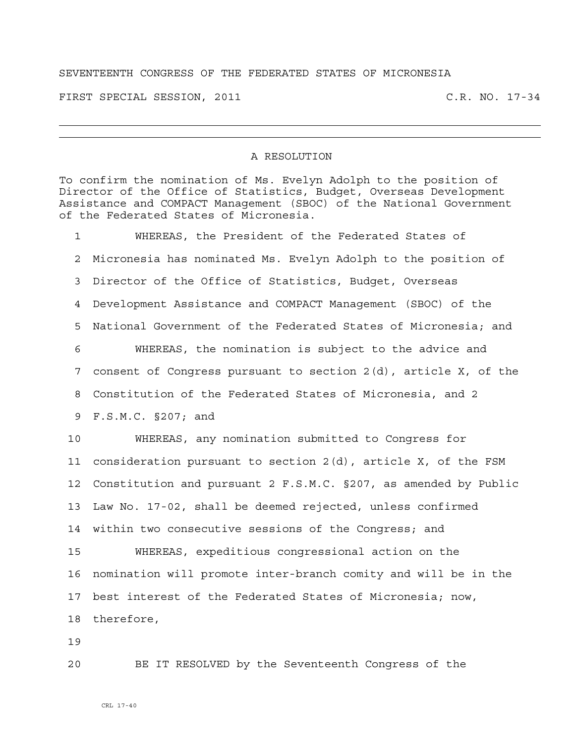## SEVENTEENTH CONGRESS OF THE FEDERATED STATES OF MICRONESIA

FIRST SPECIAL SESSION, 2011 C.R. NO. 17-34

## A RESOLUTION

To confirm the nomination of Ms. Evelyn Adolph to the position of Director of the Office of Statistics, Budget, Overseas Development Assistance and COMPACT Management (SBOC) of the National Government of the Federated States of Micronesia.

1 WHEREAS, the President of the Federated States of 2 Micronesia has nominated Ms. Evelyn Adolph to the position of 3 Director of the Office of Statistics, Budget, Overseas 4 Development Assistance and COMPACT Management (SBOC) of the 5 National Government of the Federated States of Micronesia; and 6 WHEREAS, the nomination is subject to the advice and 7 consent of Congress pursuant to section 2(d), article X, of the 8 Constitution of the Federated States of Micronesia, and 2 9 F.S.M.C. §207; and 10 WHEREAS, any nomination submitted to Congress for 11 consideration pursuant to section 2(d), article X, of the FSM 12 Constitution and pursuant 2 F.S.M.C. §207, as amended by Public 13 Law No. 17-02, shall be deemed rejected, unless confirmed 14 within two consecutive sessions of the Congress; and 15 WHEREAS, expeditious congressional action on the 16 nomination will promote inter-branch comity and will be in the 17 best interest of the Federated States of Micronesia; now, 18 therefore,

19

20 BE IT RESOLVED by the Seventeenth Congress of the